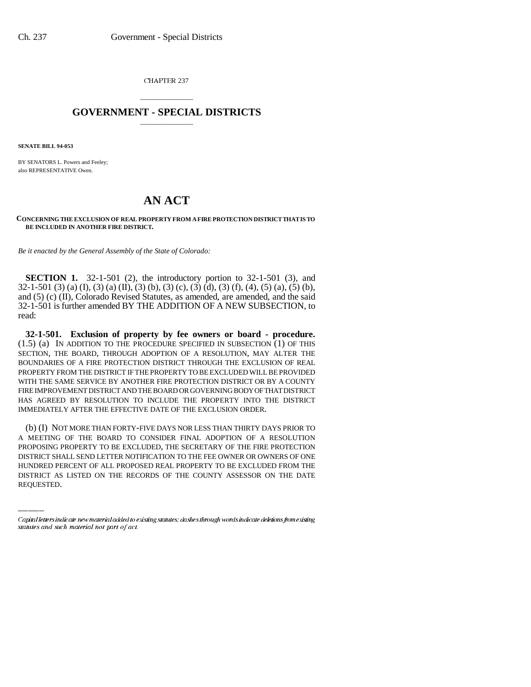CHAPTER 237

## \_\_\_\_\_\_\_\_\_\_\_\_\_\_\_ **GOVERNMENT - SPECIAL DISTRICTS** \_\_\_\_\_\_\_\_\_\_\_\_\_\_\_

**SENATE BILL 94-053**

BY SENATORS L. Powers and Feeley; also REPRESENTATIVE Owen.

## **AN ACT**

**CONCERNING THE EXCLUSION OF REAL PROPERTY FROM A FIRE PROTECTION DISTRICT THAT IS TO BE INCLUDED IN ANOTHER FIRE DISTRICT.**

*Be it enacted by the General Assembly of the State of Colorado:*

**SECTION 1.** 32-1-501 (2), the introductory portion to 32-1-501 (3), and  $32-1-501$  (3) (a) (I), (3) (a) (II), (3) (b), (3) (c), (3) (d), (3) (f), (4), (5) (a), (5) (b), and (5) (c) (II), Colorado Revised Statutes, as amended, are amended, and the said 32-1-501 is further amended BY THE ADDITION OF A NEW SUBSECTION, to read:

**32-1-501. Exclusion of property by fee owners or board - procedure.**  $(1.5)$  (a) IN ADDITION TO THE PROCEDURE SPECIFIED IN SUBSECTION  $(1)$  OF THIS SECTION, THE BOARD, THROUGH ADOPTION OF A RESOLUTION, MAY ALTER THE BOUNDARIES OF A FIRE PROTECTION DISTRICT THROUGH THE EXCLUSION OF REAL PROPERTY FROM THE DISTRICT IF THE PROPERTY TO BE EXCLUDED WILL BE PROVIDED WITH THE SAME SERVICE BY ANOTHER FIRE PROTECTION DISTRICT OR BY A COUNTY FIRE IMPROVEMENT DISTRICT AND THE BOARD OR GOVERNING BODY OF THAT DISTRICT HAS AGREED BY RESOLUTION TO INCLUDE THE PROPERTY INTO THE DISTRICT IMMEDIATELY AFTER THE EFFECTIVE DATE OF THE EXCLUSION ORDER.

PROPOSING PROPERTY TO BE EXCLUDED, THE SECRETARY OF THE FIRE PROTECTION (b) (I) NOT MORE THAN FORTY-FIVE DAYS NOR LESS THAN THIRTY DAYS PRIOR TO A MEETING OF THE BOARD TO CONSIDER FINAL ADOPTION OF A RESOLUTION DISTRICT SHALL SEND LETTER NOTIFICATION TO THE FEE OWNER OR OWNERS OF ONE HUNDRED PERCENT OF ALL PROPOSED REAL PROPERTY TO BE EXCLUDED FROM THE DISTRICT AS LISTED ON THE RECORDS OF THE COUNTY ASSESSOR ON THE DATE REQUESTED.

Capital letters indicate new material added to existing statutes; dashes through words indicate deletions from existing statutes and such material not part of act.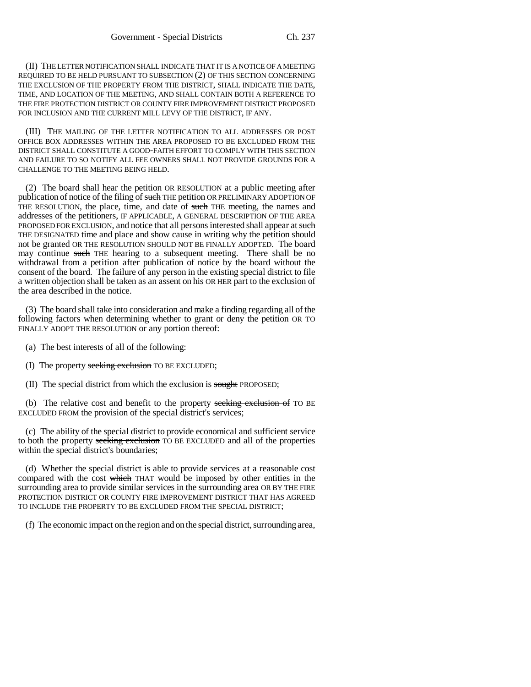(II) THE LETTER NOTIFICATION SHALL INDICATE THAT IT IS A NOTICE OF A MEETING REQUIRED TO BE HELD PURSUANT TO SUBSECTION (2) OF THIS SECTION CONCERNING THE EXCLUSION OF THE PROPERTY FROM THE DISTRICT, SHALL INDICATE THE DATE, TIME, AND LOCATION OF THE MEETING, AND SHALL CONTAIN BOTH A REFERENCE TO THE FIRE PROTECTION DISTRICT OR COUNTY FIRE IMPROVEMENT DISTRICT PROPOSED FOR INCLUSION AND THE CURRENT MILL LEVY OF THE DISTRICT, IF ANY.

(III) THE MAILING OF THE LETTER NOTIFICATION TO ALL ADDRESSES OR POST OFFICE BOX ADDRESSES WITHIN THE AREA PROPOSED TO BE EXCLUDED FROM THE DISTRICT SHALL CONSTITUTE A GOOD-FAITH EFFORT TO COMPLY WITH THIS SECTION AND FAILURE TO SO NOTIFY ALL FEE OWNERS SHALL NOT PROVIDE GROUNDS FOR A CHALLENGE TO THE MEETING BEING HELD.

(2) The board shall hear the petition OR RESOLUTION at a public meeting after publication of notice of the filing of such THE petition OR PRELIMINARY ADOPTION OF THE RESOLUTION, the place, time, and date of such THE meeting, the names and addresses of the petitioners, IF APPLICABLE, A GENERAL DESCRIPTION OF THE AREA PROPOSED FOR EXCLUSION, and notice that all persons interested shall appear at such THE DESIGNATED time and place and show cause in writing why the petition should not be granted OR THE RESOLUTION SHOULD NOT BE FINALLY ADOPTED. The board may continue such THE hearing to a subsequent meeting. There shall be no withdrawal from a petition after publication of notice by the board without the consent of the board. The failure of any person in the existing special district to file a written objection shall be taken as an assent on his OR HER part to the exclusion of the area described in the notice.

(3) The board shall take into consideration and make a finding regarding all of the following factors when determining whether to grant or deny the petition OR TO FINALLY ADOPT THE RESOLUTION or any portion thereof:

- (a) The best interests of all of the following:
- (I) The property seeking exclusion TO BE EXCLUDED;
- (II) The special district from which the exclusion is sought PROPOSED;

(b) The relative cost and benefit to the property seeking exclusion of TO BE EXCLUDED FROM the provision of the special district's services;

(c) The ability of the special district to provide economical and sufficient service to both the property seeking exclusion TO BE EXCLUDED and all of the properties within the special district's boundaries;

(d) Whether the special district is able to provide services at a reasonable cost compared with the cost which THAT would be imposed by other entities in the surrounding area to provide similar services in the surrounding area OR BY THE FIRE PROTECTION DISTRICT OR COUNTY FIRE IMPROVEMENT DISTRICT THAT HAS AGREED TO INCLUDE THE PROPERTY TO BE EXCLUDED FROM THE SPECIAL DISTRICT;

(f) The economic impact on the region and on the special district, surrounding area,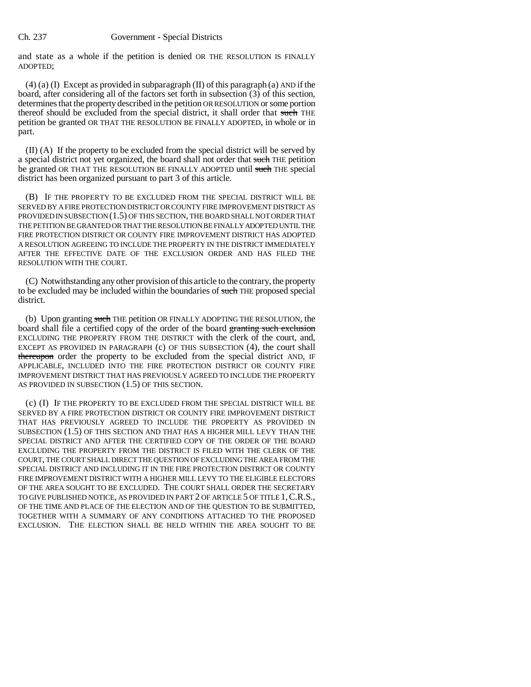## Ch. 237 Government - Special Districts

and state as a whole if the petition is denied OR THE RESOLUTION IS FINALLY ADOPTED;

(4) (a) (I) Except as provided in subparagraph (II) of this paragraph (a) AND if the board, after considering all of the factors set forth in subsection (3) of this section, determines that the property described in the petition OR RESOLUTION or some portion thereof should be excluded from the special district, it shall order that such THE petition be granted OR THAT THE RESOLUTION BE FINALLY ADOPTED, in whole or in part.

(II) (A) If the property to be excluded from the special district will be served by a special district not yet organized, the board shall not order that such THE petition be granted OR THAT THE RESOLUTION BE FINALLY ADOPTED until such THE special district has been organized pursuant to part 3 of this article.

(B) IF THE PROPERTY TO BE EXCLUDED FROM THE SPECIAL DISTRICT WILL BE SERVED BY A FIRE PROTECTION DISTRICT OR COUNTY FIRE IMPROVEMENT DISTRICT AS PROVIDED IN SUBSECTION (1.5) OF THIS SECTION, THE BOARD SHALL NOT ORDER THAT THE PETITION BE GRANTED OR THAT THE RESOLUTION BE FINALLY ADOPTED UNTIL THE FIRE PROTECTION DISTRICT OR COUNTY FIRE IMPROVEMENT DISTRICT HAS ADOPTED A RESOLUTION AGREEING TO INCLUDE THE PROPERTY IN THE DISTRICT IMMEDIATELY AFTER THE EFFECTIVE DATE OF THE EXCLUSION ORDER AND HAS FILED THE RESOLUTION WITH THE COURT.

(C) Notwithstanding any other provision of this article to the contrary, the property to be excluded may be included within the boundaries of such THE proposed special district.

(b) Upon granting such THE petition OR FINALLY ADOPTING THE RESOLUTION, the board shall file a certified copy of the order of the board granting such exclusion EXCLUDING THE PROPERTY FROM THE DISTRICT with the clerk of the court, and, EXCEPT AS PROVIDED IN PARAGRAPH (c) OF THIS SUBSECTION (4), the court shall thereupon order the property to be excluded from the special district AND, IF APPLICABLE, INCLUDED INTO THE FIRE PROTECTION DISTRICT OR COUNTY FIRE IMPROVEMENT DISTRICT THAT HAS PREVIOUSLY AGREED TO INCLUDE THE PROPERTY AS PROVIDED IN SUBSECTION (1.5) OF THIS SECTION.

(c) (I) IF THE PROPERTY TO BE EXCLUDED FROM THE SPECIAL DISTRICT WILL BE SERVED BY A FIRE PROTECTION DISTRICT OR COUNTY FIRE IMPROVEMENT DISTRICT THAT HAS PREVIOUSLY AGREED TO INCLUDE THE PROPERTY AS PROVIDED IN SUBSECTION (1.5) OF THIS SECTION AND THAT HAS A HIGHER MILL LEVY THAN THE SPECIAL DISTRICT AND AFTER THE CERTIFIED COPY OF THE ORDER OF THE BOARD EXCLUDING THE PROPERTY FROM THE DISTRICT IS FILED WITH THE CLERK OF THE COURT, THE COURT SHALL DIRECT THE QUESTION OF EXCLUDING THE AREA FROM THE SPECIAL DISTRICT AND INCLUDING IT IN THE FIRE PROTECTION DISTRICT OR COUNTY FIRE IMPROVEMENT DISTRICT WITH A HIGHER MILL LEVY TO THE ELIGIBLE ELECTORS OF THE AREA SOUGHT TO BE EXCLUDED. THE COURT SHALL ORDER THE SECRETARY TO GIVE PUBLISHED NOTICE, AS PROVIDED IN PART 2 OF ARTICLE 5 OF TITLE 1,C.R.S., OF THE TIME AND PLACE OF THE ELECTION AND OF THE QUESTION TO BE SUBMITTED, TOGETHER WITH A SUMMARY OF ANY CONDITIONS ATTACHED TO THE PROPOSED EXCLUSION. THE ELECTION SHALL BE HELD WITHIN THE AREA SOUGHT TO BE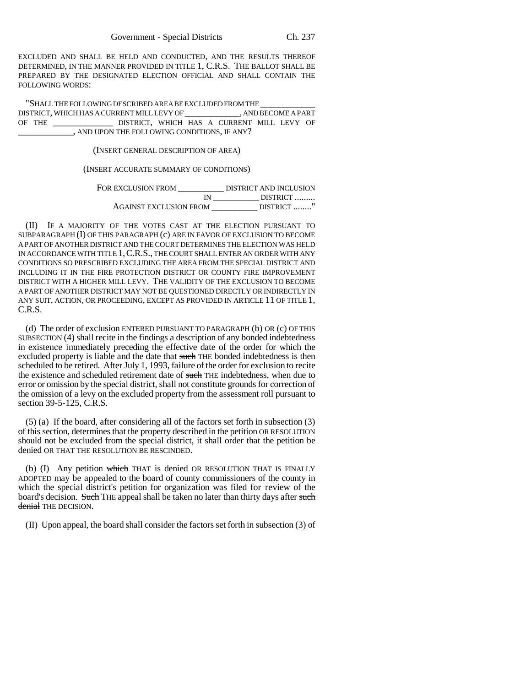EXCLUDED AND SHALL BE HELD AND CONDUCTED, AND THE RESULTS THEREOF DETERMINED, IN THE MANNER PROVIDED IN TITLE 1, C.R.S. THE BALLOT SHALL BE PREPARED BY THE DESIGNATED ELECTION OFFICIAL AND SHALL CONTAIN THE FOLLOWING WORDS:

"SHALL THE FOLLOWING DESCRIBED AREA BE EXCLUDED FROM THE \_\_\_\_\_\_\_\_\_\_\_\_ DISTRICT, WHICH HAS A CURRENT MILL LEVY OF OF THE \_\_\_\_\_\_\_\_\_\_\_\_\_ DISTRICT, WHICH HAS A CURRENT MILL LEVY OF \_\_\_\_\_\_\_\_\_\_\_\_, AND UPON THE FOLLOWING CONDITIONS, IF ANY?

(INSERT GENERAL DESCRIPTION OF AREA)

(INSERT ACCURATE SUMMARY OF CONDITIONS)

| FOR EXCLUSION FROM            | DISTRICT AND INCLUSION |
|-------------------------------|------------------------|
|                               | DISTRICT               |
| <b>AGAINST EXCLUSION FROM</b> | DISTRICT               |

(II) IF A MAJORITY OF THE VOTES CAST AT THE ELECTION PURSUANT TO SUBPARAGRAPH (I) OF THIS PARAGRAPH (c) ARE IN FAVOR OF EXCLUSION TO BECOME A PART OF ANOTHER DISTRICT AND THE COURT DETERMINES THE ELECTION WAS HELD IN ACCORDANCE WITH TITLE 1,C.R.S., THE COURT SHALL ENTER AN ORDER WITH ANY CONDITIONS SO PRESCRIBED EXCLUDING THE AREA FROM THE SPECIAL DISTRICT AND INCLUDING IT IN THE FIRE PROTECTION DISTRICT OR COUNTY FIRE IMPROVEMENT DISTRICT WITH A HIGHER MILL LEVY. THE VALIDITY OF THE EXCLUSION TO BECOME A PART OF ANOTHER DISTRICT MAY NOT BE QUESTIONED DIRECTLY OR INDIRECTLY IN ANY SUIT, ACTION, OR PROCEEDING, EXCEPT AS PROVIDED IN ARTICLE 11 OF TITLE 1, C.R.S.

(d) The order of exclusion ENTERED PURSUANT TO PARAGRAPH (b) OR (c) OF THIS SUBSECTION (4) shall recite in the findings a description of any bonded indebtedness in existence immediately preceding the effective date of the order for which the excluded property is liable and the date that such THE bonded indebtedness is then scheduled to be retired. After July 1, 1993, failure of the order for exclusion to recite the existence and scheduled retirement date of such THE indebtedness, when due to error or omission by the special district, shall not constitute grounds for correction of the omission of a levy on the excluded property from the assessment roll pursuant to section 39-5-125, C.R.S.

(5) (a) If the board, after considering all of the factors set forth in subsection (3) of this section, determines that the property described in the petition OR RESOLUTION should not be excluded from the special district, it shall order that the petition be denied OR THAT THE RESOLUTION BE RESCINDED.

(b)  $(I)$  Any petition which THAT is denied OR RESOLUTION THAT IS FINALLY ADOPTED may be appealed to the board of county commissioners of the county in which the special district's petition for organization was filed for review of the board's decision. Such THE appeal shall be taken no later than thirty days after such denial THE DECISION.

(II) Upon appeal, the board shall consider the factors set forth in subsection (3) of